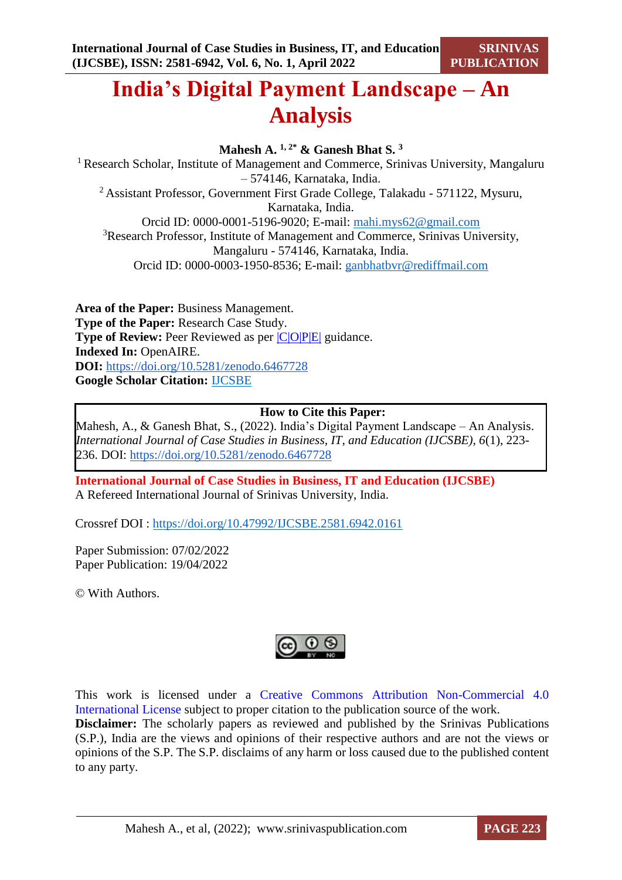# **India's Digital Payment Landscape – An Analysis**

**Mahesh A. 1, 2\* & Ganesh Bhat S. <sup>3</sup>** <sup>1</sup> Research Scholar, Institute of Management and Commerce, Srinivas University, Mangaluru – 574146, Karnataka, India. <sup>2</sup>Assistant Professor, Government First Grade College, Talakadu - 571122, Mysuru, Karnataka, India. Orcid ID: 0000-0001-5196-9020; E-mail: [mahi.mys62@gmail.com](mailto:mahi.mys62@gmail.com) <sup>3</sup>Research Professor, Institute of Management and Commerce, Srinivas University, Mangaluru - 574146, Karnataka, India.

Orcid ID: 0000-0003-1950-8536; E-mail: ganbhatbvr@rediffmail.com

**Area of the Paper:** Business Management. **Type of the Paper:** Research Case Study. **Type of Review:** Peer Reviewed as per  $|C|O||P|E|$  guidance. **Indexed In:** OpenAIRE. **DOI:** <https://doi.org/10.5281/zenodo.6467728> **Google Scholar Citation:** [IJCSBE](https://scholar.google.com/citations?user=yGYPA1MAAAAJ)

### **How to Cite this Paper:**

Mahesh, A., & Ganesh Bhat, S., (2022). India's Digital Payment Landscape – An Analysis. *International Journal of Case Studies in Business, IT, and Education (IJCSBE), 6*(1), 223- 236. DOI: <https://doi.org/10.5281/zenodo.6467728>

**International Journal of Case Studies in Business, IT and Education (IJCSBE)** A Refereed International Journal of Srinivas University, India.

Crossref DOI : [https://doi.org/10.47992/IJCSBE.2581.6942.0161](https://search.crossref.org/?q=10.47992%2FIJCSBE.2581.6942.0161&from_ui=yes)

Paper Submission: 07/02/2022 Paper Publication: 19/04/2022

© With Authors.



This work is licensed under a Creative Commons Attribution Non-Commercial 4.0 International License subject to proper citation to the publication source of the work. **Disclaimer:** The scholarly papers as reviewed and published by the Srinivas Publications (S.P.), India are the views and opinions of their respective authors and are not the views or opinions of the S.P. The S.P. disclaims of any harm or loss caused due to the published content to any party.

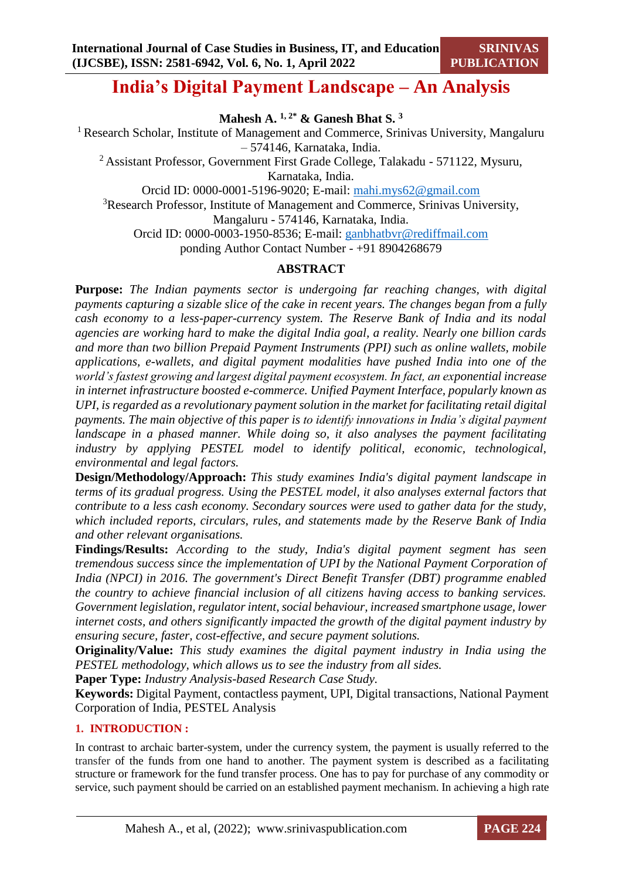## **India's Digital Payment Landscape – An Analysis**

**Mahesh A. 1, 2\* & Ganesh Bhat S. <sup>3</sup>**

<sup>1</sup> Research Scholar, Institute of Management and Commerce, Srinivas University, Mangaluru – 574146, Karnataka, India.

<sup>2</sup>Assistant Professor, Government First Grade College, Talakadu - 571122, Mysuru, Karnataka, India.

Orcid ID: 0000-0001-5196-9020; E-mail: [mahi.mys62@gmail.com](mailto:mahi.mys62@gmail.com)

<sup>3</sup>Research Professor, Institute of Management and Commerce, Srinivas University, Mangaluru - 574146, Karnataka, India.

Orcid ID: 0000-0003-1950-8536; E-mail: ganbhatbvr@rediffmail.com

ponding Author Contact Number - +91 8904268679

### **ABSTRACT**

**Purpose:** *The Indian payments sector is undergoing far reaching changes, with digital payments capturing a sizable slice of the cake in recent years. The changes began from a fully cash economy to a less-paper-currency system. The Reserve Bank of India and its nodal agencies are working hard to make the digital India goal, a reality. Nearly one billion cards and more than two billion Prepaid Payment Instruments (PPI) such as online wallets, mobile applications, e-wallets, and digital payment modalities have pushed India into one of the world's fastest growing and largest digital payment ecosystem. In fact, an exponential increase in internet infrastructure boosted e-commerce. Unified Payment Interface, popularly known as UPI, is regarded as a revolutionary payment solution in the market for facilitating retail digital payments. The main objective of this paper is to identify innovations in India's digital payment landscape in a phased manner. While doing so, it also analyses the payment facilitating industry by applying PESTEL model to identify political, economic, technological, environmental and legal factors.*

**Design/Methodology/Approach:** *This study examines India's digital payment landscape in terms of its gradual progress. Using the PESTEL model, it also analyses external factors that contribute to a less cash economy. Secondary sources were used to gather data for the study, which included reports, circulars, rules, and statements made by the Reserve Bank of India and other relevant organisations.*

**Findings/Results:** *According to the study, India's digital payment segment has seen tremendous success since the implementation of UPI by the National Payment Corporation of India (NPCI) in 2016. The government's Direct Benefit Transfer (DBT) programme enabled the country to achieve financial inclusion of all citizens having access to banking services. Government legislation, regulator intent, social behaviour, increased smartphone usage, lower internet costs, and others significantly impacted the growth of the digital payment industry by ensuring secure, faster, cost-effective, and secure payment solutions.*

**Originality/Value:** *This study examines the digital payment industry in India using the PESTEL methodology, which allows us to see the industry from all sides.*

**Paper Type:** *Industry Analysis-based Research Case Study.*

**Keywords:** Digital Payment, contactless payment, UPI, Digital transactions, National Payment Corporation of India, PESTEL Analysis

### **1. INTRODUCTION :**

In contrast to archaic barter-system, under the currency system, the payment is usually referred to the transfer of the funds from one hand to another. The payment system is described as a facilitating structure or framework for the fund transfer process. One has to pay for purchase of any commodity or service, such payment should be carried on an established payment mechanism. In achieving a high rate

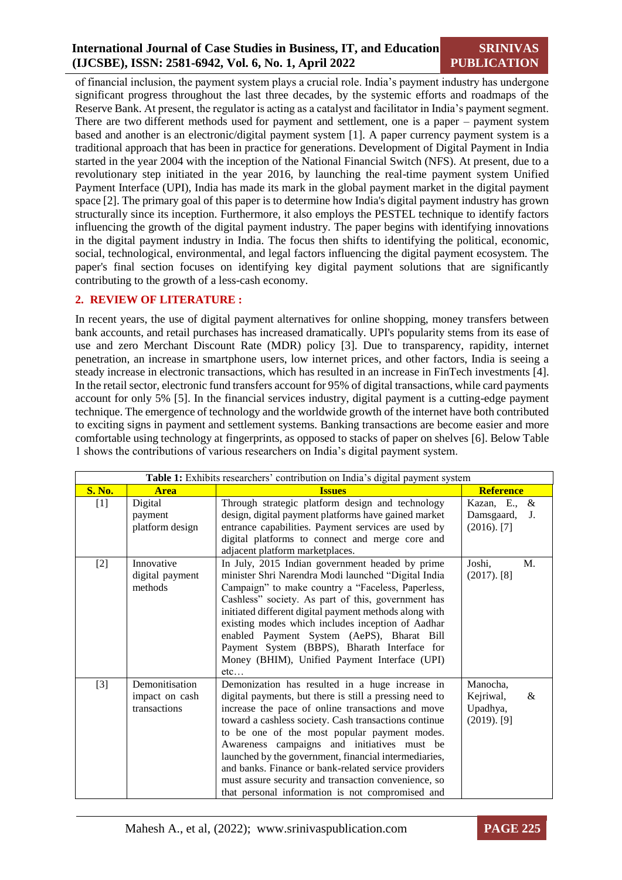### **International Journal of Case Studies in Business, IT, and Education (IJCSBE), ISSN: 2581-6942, Vol. 6, No. 1, April 2022**

**SRINIVAS PUBLICATION**

of financial inclusion, the payment system plays a crucial role. India's payment industry has undergone significant progress throughout the last three decades, by the systemic efforts and roadmaps of the Reserve Bank. At present, the regulator is acting as a catalyst and facilitator in India's payment segment. There are two different methods used for payment and settlement, one is a paper – payment system based and another is an electronic/digital payment system [\[1\].](#page-10-0) A paper currency payment system is a traditional approach that has been in practice for generations. Development of Digital Payment in India started in the year 2004 with the inception of the National Financial Switch (NFS). At present, due to a revolutionary step initiated in the year 2016, by launching the real-time payment system Unified Payment Interface (UPI), India has made its mark in the global payment market in the digital payment space [\[2\].](#page-11-0) The primary goal of this paper is to determine how India's digital payment industry has grown structurally since its inception. Furthermore, it also employs the PESTEL technique to identify factors influencing the growth of the digital payment industry. The paper begins with identifying innovations in the digital payment industry in India. The focus then shifts to identifying the political, economic, social, technological, environmental, and legal factors influencing the digital payment ecosystem. The paper's final section focuses on identifying key digital payment solutions that are significantly contributing to the growth of a less-cash economy.

### **2. REVIEW OF LITERATURE :**

In recent years, the use of digital payment alternatives for online shopping, money transfers between bank accounts, and retail purchases has increased dramatically. UPI's popularity stems from its ease of use and zero Merchant Discount Rate (MDR) policy [\[3\].](#page-11-1) Due to transparency, rapidity, internet penetration, an increase in smartphone users, low internet prices, and other factors, India is seeing a steady increase in electronic transactions, which has resulted in an increase in FinTech investments [\[4\].](#page-11-2) In the retail sector, electronic fund transfers account for 95% of digital transactions, while card payments account for only 5% [\[5\].](#page-11-3) In the financial services industry, digital payment is a cutting-edge payment technique. The emergence of technology and the worldwide growth of the internet have both contributed to exciting signs in payment and settlement systems. Banking transactions are become easier and more comfortable using technology at fingerprints, as opposed to stacks of paper on shelves [\[6\].](#page-11-4) Below Table 1 shows the contributions of various researchers on India's digital payment system.

| Table 1: Exhibits researchers' contribution on India's digital payment system |                                                  |                                                                                                                                                                                                                                                                                                                                                                                                                                                                                                                                                      |                                                          |  |
|-------------------------------------------------------------------------------|--------------------------------------------------|------------------------------------------------------------------------------------------------------------------------------------------------------------------------------------------------------------------------------------------------------------------------------------------------------------------------------------------------------------------------------------------------------------------------------------------------------------------------------------------------------------------------------------------------------|----------------------------------------------------------|--|
| <b>S. No.</b>                                                                 | <b>Area</b>                                      | <b>Issues</b>                                                                                                                                                                                                                                                                                                                                                                                                                                                                                                                                        | <b>Reference</b>                                         |  |
| $[1]$                                                                         | Digital<br>payment<br>platform design            | Through strategic platform design and technology<br>design, digital payment platforms have gained market<br>entrance capabilities. Payment services are used by<br>digital platforms to connect and merge core and<br>adjacent platform marketplaces.                                                                                                                                                                                                                                                                                                | Kazan, E.,<br>&<br>Damsgaard,<br>J.<br>$(2016)$ . [7]    |  |
| $[2]$                                                                         | Innovative<br>digital payment<br>methods         | In July, 2015 Indian government headed by prime<br>minister Shri Narendra Modi launched "Digital India<br>Campaign" to make country a "Faceless, Paperless,<br>Cashless" society. As part of this, government has<br>initiated different digital payment methods along with<br>existing modes which includes inception of Aadhar<br>enabled Payment System (AePS), Bharat Bill<br>Payment System (BBPS), Bharath Interface for<br>Money (BHIM), Unified Payment Interface (UPI)<br>etc                                                               | Joshi,<br>M.<br>$(2017)$ . [8]                           |  |
| $[3]$                                                                         | Demonitisation<br>impact on cash<br>transactions | Demonization has resulted in a huge increase in<br>digital payments, but there is still a pressing need to<br>increase the pace of online transactions and move<br>toward a cashless society. Cash transactions continue<br>to be one of the most popular payment modes.<br>Awareness campaigns and initiatives must be<br>launched by the government, financial intermediaries,<br>and banks. Finance or bank-related service providers<br>must assure security and transaction convenience, so<br>that personal information is not compromised and | Manocha,<br>Kejriwal,<br>&<br>Upadhya,<br>$(2019)$ . [9] |  |

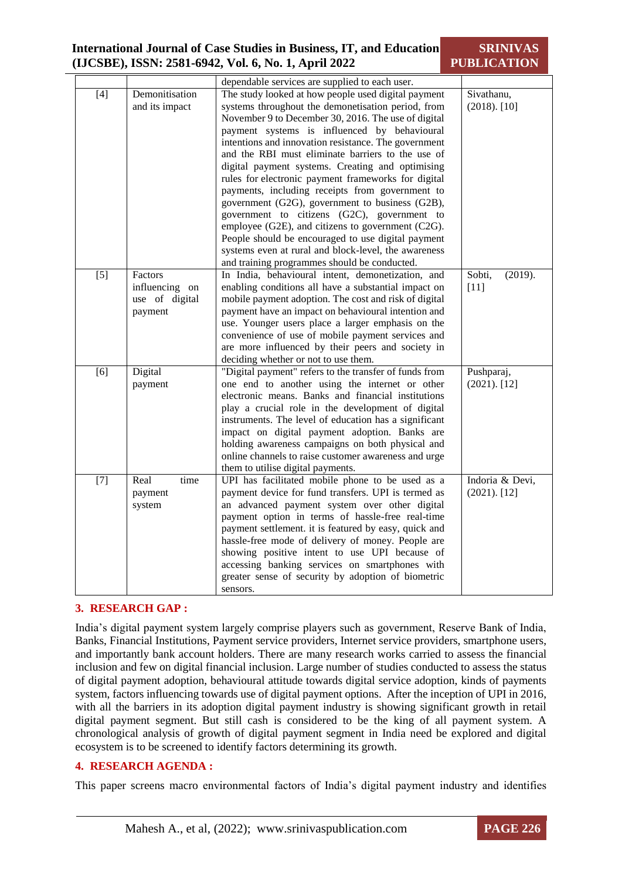| <b>International Journal of Case Studies in Business, IT, and Education</b><br>(IJCSBE), ISSN: 2581-6942, Vol. 6, No. 1, April 2022 |     |                                  |                                                                                                                                                                                                                                                                                                                                                                                                                                                                                            | <b>SRINIVAS</b><br><b>PUBLICATION</b> |
|-------------------------------------------------------------------------------------------------------------------------------------|-----|----------------------------------|--------------------------------------------------------------------------------------------------------------------------------------------------------------------------------------------------------------------------------------------------------------------------------------------------------------------------------------------------------------------------------------------------------------------------------------------------------------------------------------------|---------------------------------------|
|                                                                                                                                     |     |                                  | dependable services are supplied to each user.                                                                                                                                                                                                                                                                                                                                                                                                                                             |                                       |
|                                                                                                                                     | [4] | Demonitisation<br>and its impact | The study looked at how people used digital payment<br>systems throughout the demonetisation period, from<br>November 9 to December 30, 2016. The use of digital<br>payment systems is influenced by behavioural<br>intentions and innovation resistance. The government<br>and the RBI must eliminate barriers to the use of<br>digital payment systems. Creating and optimising<br>rules for electronic payment frameworks for digital<br>normante including receipte from government to | Sivathanu,<br>$(2018)$ . [10]         |

|                                                                 | digital payment systems. Creating and optimising<br>rules for electronic payment frameworks for digital<br>payments, including receipts from government to<br>government (G2G), government to business (G2B),<br>government to citizens (G2C), government to<br>employee (G2E), and citizens to government (C2G).<br>People should be encouraged to use digital payment                                                                                                                         |                                    |
|-----------------------------------------------------------------|-------------------------------------------------------------------------------------------------------------------------------------------------------------------------------------------------------------------------------------------------------------------------------------------------------------------------------------------------------------------------------------------------------------------------------------------------------------------------------------------------|------------------------------------|
|                                                                 | systems even at rural and block-level, the awareness<br>and training programmes should be conducted.                                                                                                                                                                                                                                                                                                                                                                                            |                                    |
| $[5]$<br>Factors<br>influencing on<br>use of digital<br>payment | In India, behavioural intent, demonetization, and<br>enabling conditions all have a substantial impact on<br>mobile payment adoption. The cost and risk of digital<br>payment have an impact on behavioural intention and<br>use. Younger users place a larger emphasis on the<br>convenience of use of mobile payment services and<br>are more influenced by their peers and society in<br>deciding whether or not to use them.                                                                | Sobti,<br>(2019).<br>$[11]$        |
| Digital<br>[6]<br>payment                                       | "Digital payment" refers to the transfer of funds from<br>one end to another using the internet or other<br>electronic means. Banks and financial institutions<br>play a crucial role in the development of digital<br>instruments. The level of education has a significant<br>impact on digital payment adoption. Banks are<br>holding awareness campaigns on both physical and<br>online channels to raise customer awareness and urge<br>them to utilise digital payments.                  | Pushparaj,<br>$(2021)$ . [12]      |
| $[7]$<br>time<br>Real<br>payment<br>system                      | UPI has facilitated mobile phone to be used as a<br>payment device for fund transfers. UPI is termed as<br>an advanced payment system over other digital<br>payment option in terms of hassle-free real-time<br>payment settlement. it is featured by easy, quick and<br>hassle-free mode of delivery of money. People are<br>showing positive intent to use UPI because of<br>accessing banking services on smartphones with<br>greater sense of security by adoption of biometric<br>sensors. | Indoria & Devi,<br>$(2021)$ . [12] |

### **3. RESEARCH GAP :**

India's digital payment system largely comprise players such as government, Reserve Bank of India, Banks, Financial Institutions, Payment service providers, Internet service providers, smartphone users, and importantly bank account holders. There are many research works carried to assess the financial inclusion and few on digital financial inclusion. Large number of studies conducted to assess the status of digital payment adoption, behavioural attitude towards digital service adoption, kinds of payments system, factors influencing towards use of digital payment options. After the inception of UPI in 2016, with all the barriers in its adoption digital payment industry is showing significant growth in retail digital payment segment. But still cash is considered to be the king of all payment system. A chronological analysis of growth of digital payment segment in India need be explored and digital ecosystem is to be screened to identify factors determining its growth.

### **4. RESEARCH AGENDA :**

This paper screens macro environmental factors of India's digital payment industry and identifies

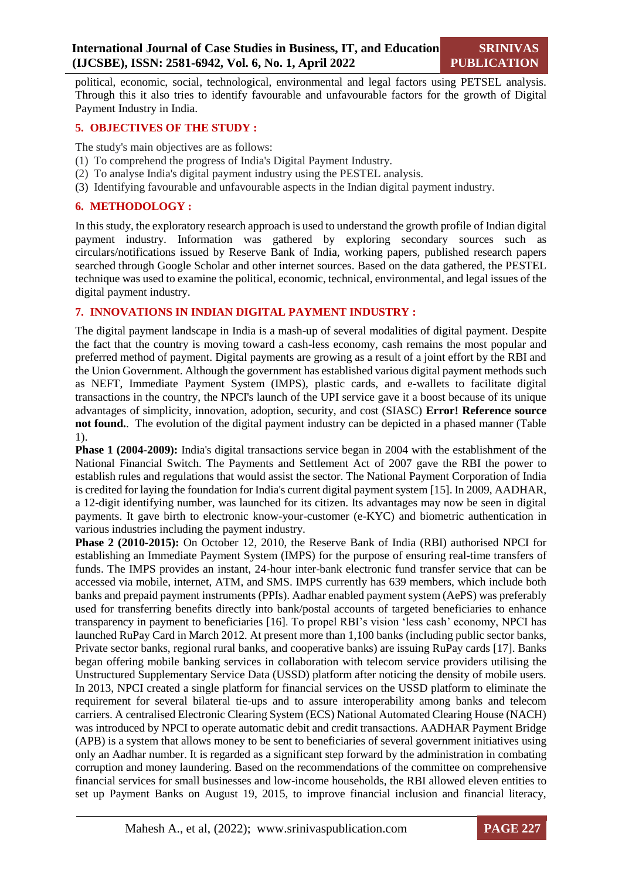political, economic, social, technological, environmental and legal factors using PETSEL analysis. Through this it also tries to identify favourable and unfavourable factors for the growth of Digital Payment Industry in India.

### **5. OBJECTIVES OF THE STUDY :**

The study's main objectives are as follows:

- (1) To comprehend the progress of India's Digital Payment Industry.
- (2) To analyse India's digital payment industry using the PESTEL analysis.
- (3) Identifying favourable and unfavourable aspects in the Indian digital payment industry.

### **6. METHODOLOGY :**

In this study, the exploratory research approach is used to understand the growth profile of Indian digital payment industry. Information was gathered by exploring secondary sources such as circulars/notifications issued by Reserve Bank of India, working papers, published research papers searched through Google Scholar and other internet sources. Based on the data gathered, the PESTEL technique was used to examine the political, economic, technical, environmental, and legal issues of the digital payment industry.

### **7. INNOVATIONS IN INDIAN DIGITAL PAYMENT INDUSTRY :**

The digital payment landscape in India is a mash-up of several modalities of digital payment. Despite the fact that the country is moving toward a cash-less economy, cash remains the most popular and preferred method of payment. Digital payments are growing as a result of a joint effort by the RBI and the Union Government. Although the government has established various digital payment methods such as NEFT, Immediate Payment System (IMPS), plastic cards, and e-wallets to facilitate digital transactions in the country, the NPCI's launch of the UPI service gave it a boost because of its unique advantages of simplicity, innovation, adoption, security, and cost (SIASC) **Error! Reference source not found.**. The evolution of the digital payment industry can be depicted in a phased manner (Table 1).

**Phase 1 (2004-2009):** India's digital transactions service began in 2004 with the establishment of the National Financial Switch. The Payments and Settlement Act of 2007 gave the RBI the power to establish rules and regulations that would assist the sector. The National Payment Corporation of India is credited for laying the foundation for India's current digital payment system [\[15\].](#page-11-12) In 2009, AADHAR, a 12-digit identifying number, was launched for its citizen. Its advantages may now be seen in digital payments. It gave birth to electronic know-your-customer (e-KYC) and biometric authentication in various industries including the payment industry.

**Phase 2 (2010-2015):** On October 12, 2010, the Reserve Bank of India (RBI) authorised NPCI for establishing an Immediate Payment System (IMPS) for the purpose of ensuring real-time transfers of funds. The IMPS provides an instant, 24-hour inter-bank electronic fund transfer service that can be accessed via mobile, internet, ATM, and SMS. IMPS currently has 639 members, which include both banks and prepaid payment instruments (PPIs). Aadhar enabled payment system (AePS) was preferably used for transferring benefits directly into bank/postal accounts of targeted beneficiaries to enhance transparency in payment to beneficiaries [\[16\].](#page-11-13) To propel RBI's vision 'less cash' economy, NPCI has launched RuPay Card in March 2012. At present more than 1,100 banks (including public sector banks, Private sector banks, regional rural banks, and cooperative banks) are issuing RuPay cards [\[17\].](#page-11-14) Banks began offering mobile banking services in collaboration with telecom service providers utilising the Unstructured Supplementary Service Data (USSD) platform after noticing the density of mobile users. In 2013, NPCI created a single platform for financial services on the USSD platform to eliminate the requirement for several bilateral tie-ups and to assure interoperability among banks and telecom carriers. A centralised Electronic Clearing System (ECS) National Automated Clearing House (NACH) was introduced by NPCI to operate automatic debit and credit transactions. AADHAR Payment Bridge (APB) is a system that allows money to be sent to beneficiaries of several government initiatives using only an Aadhar number. It is regarded as a significant step forward by the administration in combating corruption and money laundering. Based on the recommendations of the committee on comprehensive financial services for small businesses and low-income households, the RBI allowed eleven entities to set up Payment Banks on August 19, 2015, to improve financial inclusion and financial literacy,

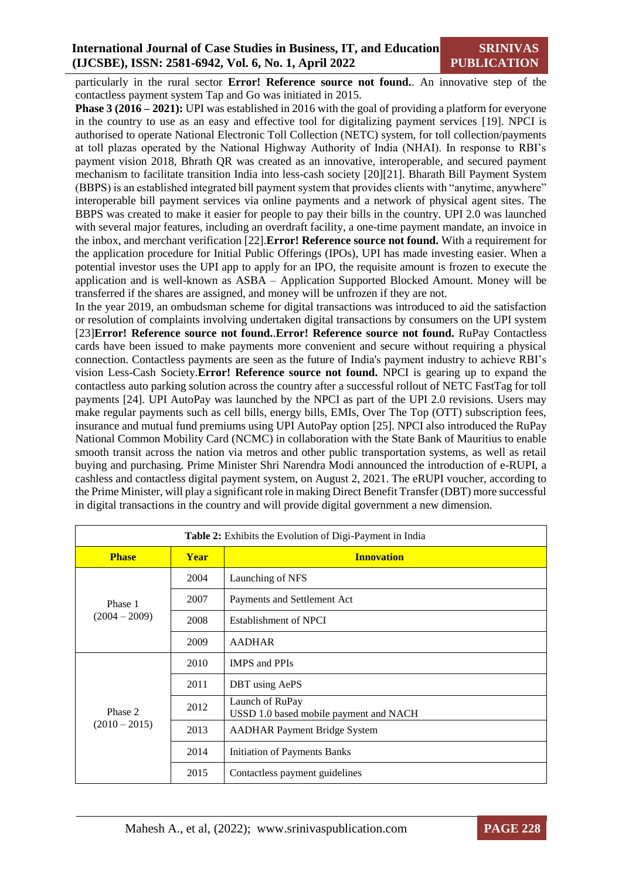particularly in the rural sector **Error! Reference source not found.**. An innovative step of the contactless payment system Tap and Go was initiated in 2015.

**Phase 3 (2016 – 2021):** UPI was established in 2016 with the goal of providing a platform for everyone in the country to use as an easy and effective tool for digitalizing payment services [\[19\].](#page-12-0) NPCI is authorised to operate National Electronic Toll Collection (NETC) system, for toll collection/payments at toll plazas operated by the National Highway Authority of India (NHAI). In response to RBI's payment vision 2018, Bhrath QR was created as an innovative, interoperable, and secured payment mechanism to facilitate transition India into less-cash society [\[20\]](#page-12-1)[\[21\].](#page-12-2) Bharath Bill Payment System (BBPS) is an established integrated bill payment system that provides clients with "anytime, anywhere" interoperable bill payment services via online payments and a network of physical agent sites. The BBPS was created to make it easier for people to pay their bills in the country. UPI 2.0 was launched with several major features, including an overdraft facility, a one-time payment mandate, an invoice in the inbox, and merchant verification [\[22\].](#page-12-3)**Error! Reference source not found.** With a requirement for the application procedure for Initial Public Offerings (IPOs), UPI has made investing easier. When a potential investor uses the UPI app to apply for an IPO, the requisite amount is frozen to execute the application and is well-known as ASBA – Application Supported Blocked Amount. Money will be transferred if the shares are assigned, and money will be unfrozen if they are not.

In the year 2019, an ombudsman scheme for digital transactions was introduced to aid the satisfaction or resolution of complaints involving undertaken digital transactions by consumers on the UPI system [\[23\]](#page-12-4)**Error! Reference source not found.**.**Error! Reference source not found.** RuPay Contactless cards have been issued to make payments more convenient and secure without requiring a physical connection. Contactless payments are seen as the future of India's payment industry to achieve RBI's vision Less-Cash Society.**Error! Reference source not found.** NPCI is gearing up to expand the contactless auto parking solution across the country after a successful rollout of NETC FastTag for toll payments [\[24\].](#page-12-5) UPI AutoPay was launched by the NPCI as part of the UPI 2.0 revisions. Users may make regular payments such as cell bills, energy bills, EMIs, Over The Top (OTT) subscription fees, insurance and mutual fund premiums using UPI AutoPay optio[n \[25\].](#page-12-6) NPCI also introduced the RuPay National Common Mobility Card (NCMC) in collaboration with the State Bank of Mauritius to enable smooth transit across the nation via metros and other public transportation systems, as well as retail buying and purchasing. Prime Minister Shri Narendra Modi announced the introduction of e-RUPI, a cashless and contactless digital payment system, on August 2, 2021. The eRUPI voucher, according to the Prime Minister, will play a significant role in making Direct Benefit Transfer (DBT) more successful in digital transactions in the country and will provide digital government a new dimension*.*

| Table 2: Exhibits the Evolution of Digi-Payment in India |      |                                                           |  |  |
|----------------------------------------------------------|------|-----------------------------------------------------------|--|--|
| <b>Phase</b><br><b>Year</b>                              |      | <b>Innovation</b>                                         |  |  |
|                                                          | 2004 | Launching of NFS                                          |  |  |
| Phase 1                                                  | 2007 | Payments and Settlement Act                               |  |  |
| $(2004 - 2009)$                                          | 2008 | Establishment of NPCI                                     |  |  |
|                                                          | 2009 | <b>AADHAR</b>                                             |  |  |
|                                                          | 2010 | <b>IMPS</b> and PPIs                                      |  |  |
|                                                          | 2011 | DBT using AePS                                            |  |  |
| Phase 2                                                  | 2012 | Launch of RuPay<br>USSD 1.0 based mobile payment and NACH |  |  |
| $(2010 - 2015)$                                          | 2013 | <b>AADHAR Payment Bridge System</b>                       |  |  |
|                                                          | 2014 | Initiation of Payments Banks                              |  |  |
|                                                          | 2015 | Contactless payment guidelines                            |  |  |

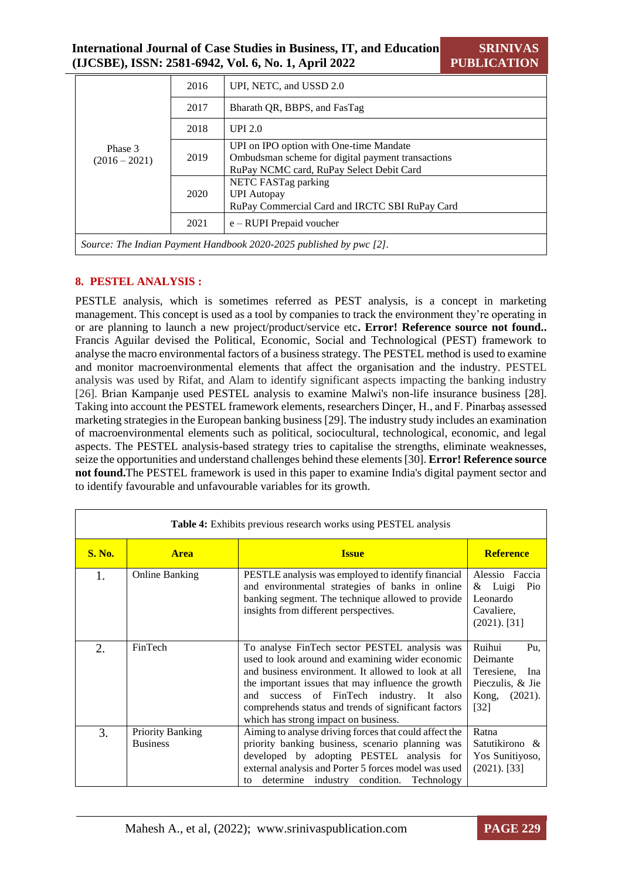|                                                                     | 2016 | UPI, NETC, and USSD 2.0                                                                                                                  |  |  |  |
|---------------------------------------------------------------------|------|------------------------------------------------------------------------------------------------------------------------------------------|--|--|--|
|                                                                     | 2017 | Bharath OR, BBPS, and FasTag                                                                                                             |  |  |  |
|                                                                     | 2018 | UPI $2.0$                                                                                                                                |  |  |  |
| Phase 3<br>$(2016 - 2021)$                                          | 2019 | UPI on IPO option with One-time Mandate<br>Ombudsman scheme for digital payment transactions<br>RuPay NCMC card, RuPay Select Debit Card |  |  |  |
|                                                                     | 2020 | NETC FASTag parking<br><b>UPI</b> Autopay<br>RuPay Commercial Card and IRCTC SBI RuPay Card                                              |  |  |  |
|                                                                     | 2021 | $e - RUPI$ Prepaid voucher                                                                                                               |  |  |  |
| Source: The Indian Payment Handbook 2020-2025 published by pwc [2]. |      |                                                                                                                                          |  |  |  |

### **8. PESTEL ANALYSIS :**

PESTLE analysis, which is sometimes referred as PEST analysis, is a concept in marketing management. This concept is used as a tool by companies to track the environment they're operating in or are planning to launch a new project/product/service etc**. Error! Reference source not found..**  Francis Aguilar devised the Political, Economic, Social and Technological (PEST) framework to analyse the macro environmental factors of a business strategy. The PESTEL method is used to examine and monitor macroenvironmental elements that affect the organisation and the industry. PESTEL analysis was used by Rifat, and Alam to identify significant aspects impacting the banking industry [\[26\].](#page-12-7) Brian Kampanje used PESTEL analysis to examine Malwi's non-life insurance business [\[28\].](#page-12-8) Taking into account the PESTEL framework elements, researchers Dinçer, H., and F. Pinarbaş assessed marketing strategies in the European banking busines[s \[29\].](#page-12-9) The industry study includes an examination of macroenvironmental elements such as political, sociocultural, technological, economic, and legal aspects. The PESTEL analysis-based strategy tries to capitalise the strengths, eliminate weaknesses, seize the opportunities and understand challenges behind these element[s \[30\].](#page-12-10) **Error! Reference source not found.**The PESTEL framework is used in this paper to examine India's digital payment sector and to identify favourable and unfavourable variables for its growth.

| <b>Table 4:</b> Exhibits previous research works using PESTEL analysis |                                            |                                                                                                                                                                                                                                                                                                                                                               |                                                                                                  |  |
|------------------------------------------------------------------------|--------------------------------------------|---------------------------------------------------------------------------------------------------------------------------------------------------------------------------------------------------------------------------------------------------------------------------------------------------------------------------------------------------------------|--------------------------------------------------------------------------------------------------|--|
| <b>S. No.</b>                                                          | <b>Area</b>                                | <b>Issue</b>                                                                                                                                                                                                                                                                                                                                                  | <b>Reference</b>                                                                                 |  |
| 1.                                                                     | Online Banking                             | PESTLE analysis was employed to identify financial<br>and environmental strategies of banks in online<br>banking segment. The technique allowed to provide<br>insights from different perspectives.                                                                                                                                                           | Alessio Faccia<br>$&$ Luigi<br>Pio<br>Leonardo<br>Cavaliere,<br>$(2021)$ . [31]                  |  |
| 2.                                                                     | FinTech                                    | To analyse FinTech sector PESTEL analysis was<br>used to look around and examining wider economic<br>and business environment. It allowed to look at all<br>the important issues that may influence the growth<br>success of FinTech industry. It also<br>and<br>comprehends status and trends of significant factors<br>which has strong impact on business. | Ruihui<br>Pu,<br>Deimante<br>Teresiene,<br>Ina<br>Pieczulis, & Jie<br>Kong,<br>(2021).<br>$[32]$ |  |
| 3.                                                                     | <b>Priority Banking</b><br><b>Business</b> | Aiming to analyse driving forces that could affect the<br>priority banking business, scenario planning was<br>developed by adopting PESTEL analysis for<br>external analysis and Porter 5 forces model was used<br>determine industry condition. Technology<br>to                                                                                             | Ratna<br>Satutikirono &<br>Yos Sunitiyoso,<br>$(2021)$ . [33]                                    |  |

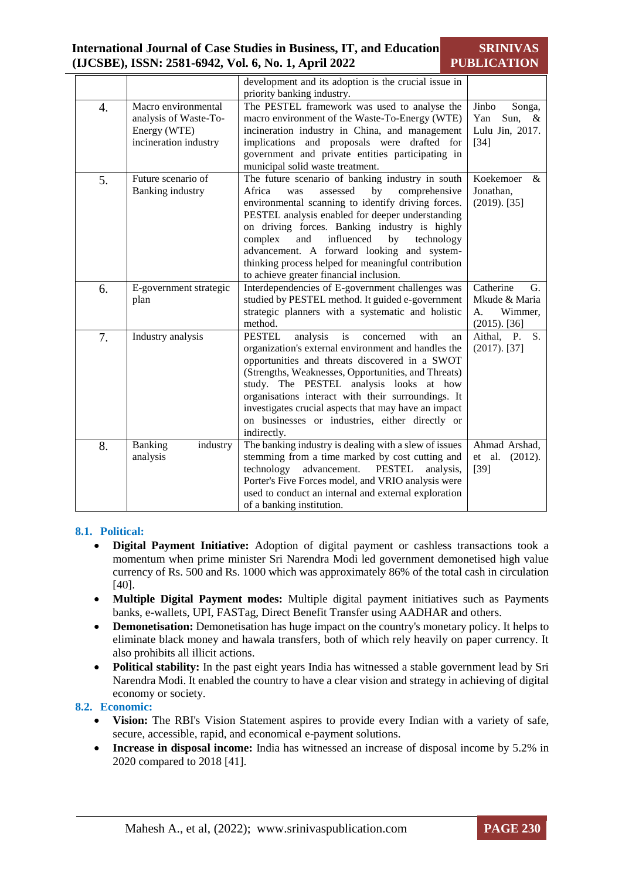#### **International Journal of Case Studies in Business, IT, and Education (IJCSBE), ISSN: 2581-6942, Vol. 6, No. 1, April 2022 SRINIVAS PUBLICATION**

|    |                        | development and its adoption is the crucial issue in       |                   |
|----|------------------------|------------------------------------------------------------|-------------------|
|    |                        | priority banking industry.                                 |                   |
| 4. | Macro environmental    | The PESTEL framework was used to analyse the               | Jinbo<br>Songa,   |
|    | analysis of Waste-To-  | macro environment of the Waste-To-Energy (WTE)             | Yan<br>Sun, $\&$  |
|    | Energy (WTE)           | incineration industry in China, and management             | Lulu Jin, 2017.   |
|    | incineration industry  | implications and proposals were drafted for                | $[34]$            |
|    |                        | government and private entities participating in           |                   |
|    |                        | municipal solid waste treatment.                           |                   |
| 5. | Future scenario of     | The future scenario of banking industry in south           | Koekemoer<br>&    |
|    | Banking industry       | Africa<br>assessed<br>comprehensive<br>was<br>by           | Jonathan,         |
|    |                        | environmental scanning to identify driving forces.         | $(2019)$ . [35]   |
|    |                        | PESTEL analysis enabled for deeper understanding           |                   |
|    |                        | on driving forces. Banking industry is highly              |                   |
|    |                        | influenced                                                 |                   |
|    |                        | complex<br>and<br>technology<br>by                         |                   |
|    |                        | advancement. A forward looking and system-                 |                   |
|    |                        | thinking process helped for meaningful contribution        |                   |
|    |                        | to achieve greater financial inclusion.                    |                   |
| 6. | E-government strategic | Interdependencies of E-government challenges was           | Catherine<br>G.   |
|    | plan                   | studied by PESTEL method. It guided e-government           | Mkude & Maria     |
|    |                        | strategic planners with a systematic and holistic          | Wimmer,<br>A.     |
|    |                        | method.                                                    | $(2015)$ . [36]   |
| 7. | Industry analysis      | <b>PESTEL</b><br>with<br>analysis<br>is<br>concerned<br>an | Aithal, P.<br>S.  |
|    |                        | organization's external environment and handles the        | $(2017)$ . [37]   |
|    |                        | opportunities and threats discovered in a SWOT             |                   |
|    |                        | (Strengths, Weaknesses, Opportunities, and Threats)        |                   |
|    |                        | study. The PESTEL analysis looks at how                    |                   |
|    |                        | organisations interact with their surroundings. It         |                   |
|    |                        | investigates crucial aspects that may have an impact       |                   |
|    |                        | on businesses or industries, either directly or            |                   |
|    |                        | indirectly.                                                |                   |
| 8. | Banking<br>industry    | The banking industry is dealing with a slew of issues      | Ahmad Arshad,     |
|    | analysis               | stemming from a time marked by cost cutting and            | et al.<br>(2012). |
|    |                        | advancement.<br><b>PESTEL</b><br>technology<br>analysis,   | $[39]$            |
|    |                        | Porter's Five Forces model, and VRIO analysis were         |                   |
|    |                        | used to conduct an internal and external exploration       |                   |
|    |                        | of a banking institution.                                  |                   |

### **8.1. Political:**

- **Digital Payment Initiative:** Adoption of digital payment or cashless transactions took a momentum when prime minister Sri Narendra Modi led government demonetised high value currency of Rs. 500 and Rs. 1000 which was approximately 86% of the total cash in circulation [\[40\].](#page-13-5)
- **Multiple Digital Payment modes:** Multiple digital payment initiatives such as Payments banks, e-wallets, UPI, FASTag, Direct Benefit Transfer using AADHAR and others.
- **Demonetisation:** Demonetisation has huge impact on the country's monetary policy. It helps to eliminate black money and hawala transfers, both of which rely heavily on paper currency. It also prohibits all illicit actions.
- **Political stability:** In the past eight years India has witnessed a stable government lead by Sri Narendra Modi. It enabled the country to have a clear vision and strategy in achieving of digital economy or society.

### **8.2. Economic:**

- **Vision:** The RBI's Vision Statement aspires to provide every Indian with a variety of safe, secure, accessible, rapid, and economical e-payment solutions.
- **Increase in disposal income:** India has witnessed an increase of disposal income by 5.2% in 2020 compared to 2018 [\[41\].](#page-13-6)

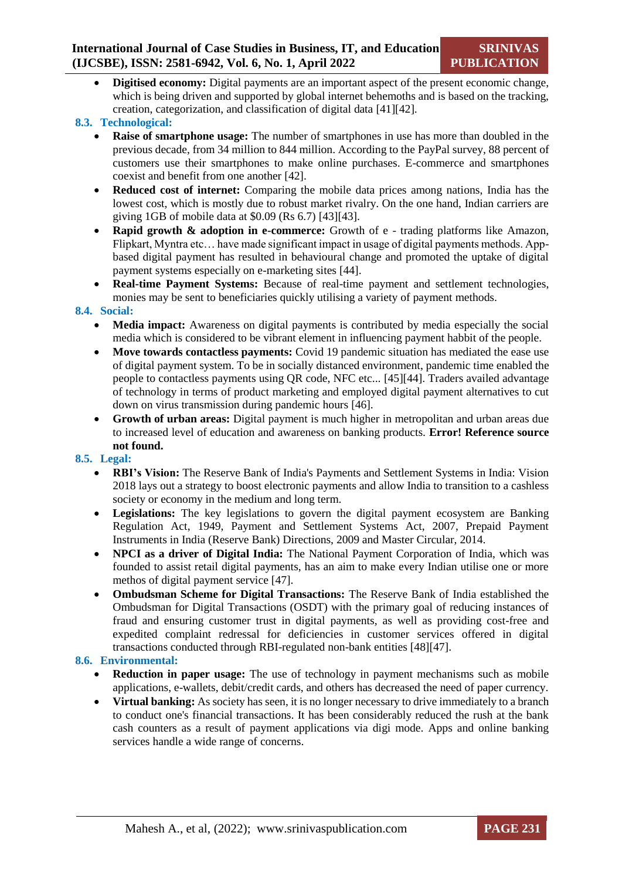**Digitised economy:** Digital payments are an important aspect of the present economic change, which is being driven and supported by global internet behemoths and is based on the tracking, creation, categorization, and classification of digital data [\[41\]](#page-13-6)[\[42\].](#page-13-7)

### **8.3. Technological:**

- **Raise of smartphone usage:** The number of smartphones in use has more than doubled in the previous decade, from 34 million to 844 million. According to the PayPal survey, 88 percent of customers use their smartphones to make online purchases. E-commerce and smartphones coexist and benefit from one another [\[42\].](#page-13-7)
- **Reduced cost of internet:** Comparing the mobile data prices among nations, India has the lowest cost, which is mostly due to robust market rivalry. On the one hand, Indian carriers are giving 1GB of mobile data at \$0.09 (Rs 6.7) [\[43\]\[43\].](#page-13-8)
- **Rapid growth & adoption in e-commerce:** Growth of e trading platforms like Amazon, Flipkart, Myntra etc… have made significant impact in usage of digital payments methods. Appbased digital payment has resulted in behavioural change and promoted the uptake of digital payment systems especially on e-marketing sites [\[44\].](#page-13-9)
- **Real-time Payment Systems:** Because of real-time payment and settlement technologies, monies may be sent to beneficiaries quickly utilising a variety of payment methods.

### **8.4. Social:**

- **Media impact:** Awareness on digital payments is contributed by media especially the social media which is considered to be vibrant element in influencing payment habbit of the people.
- **Move towards contactless payments:** Covid 19 pandemic situation has mediated the ease use of digital payment system. To be in socially distanced environment, pandemic time enabled the people to contactless payments using QR code, NFC etc... [\[45\]](#page-13-10)[\[44\].](#page-13-9) Traders availed advantage of technology in terms of product marketing and employed digital payment alternatives to cut down on virus transmission during pandemic hours [\[46\].](#page-13-11)
- **Growth of urban areas:** Digital payment is much higher in metropolitan and urban areas due to increased level of education and awareness on banking products. **Error! Reference source not found.**

### **8.5. Legal:**

- **RBI's Vision:** The Reserve Bank of India's Payments and Settlement Systems in India: Vision 2018 lays out a strategy to boost electronic payments and allow India to transition to a cashless society or economy in the medium and long term.
- **Legislations:** The key legislations to govern the digital payment ecosystem are Banking Regulation Act, 1949, Payment and Settlement Systems Act, 2007, Prepaid Payment Instruments in India (Reserve Bank) Directions, 2009 and Master Circular, 2014.
- **NPCI as a driver of Digital India:** The National Payment Corporation of India, which was founded to assist retail digital payments, has an aim to make every Indian utilise one or more methos of digital payment service [\[47\].](#page-13-12)
- **Ombudsman Scheme for Digital Transactions:** The Reserve Bank of India established the Ombudsman for Digital Transactions (OSDT) with the primary goal of reducing instances of fraud and ensuring customer trust in digital payments, as well as providing cost-free and expedited complaint redressal for deficiencies in customer services offered in digital transactions conducted through RBI-regulated non-bank entitie[s \[48\]](#page-13-13)[\[47\].](#page-13-12)

### **8.6. Environmental:**

- **Reduction in paper usage:** The use of technology in payment mechanisms such as mobile applications, e-wallets, debit/credit cards, and others has decreased the need of paper currency.
- **Virtual banking:** As society has seen, it is no longer necessary to drive immediately to a branch to conduct one's financial transactions. It has been considerably reduced the rush at the bank cash counters as a result of payment applications via digi mode. Apps and online banking services handle a wide range of concerns.

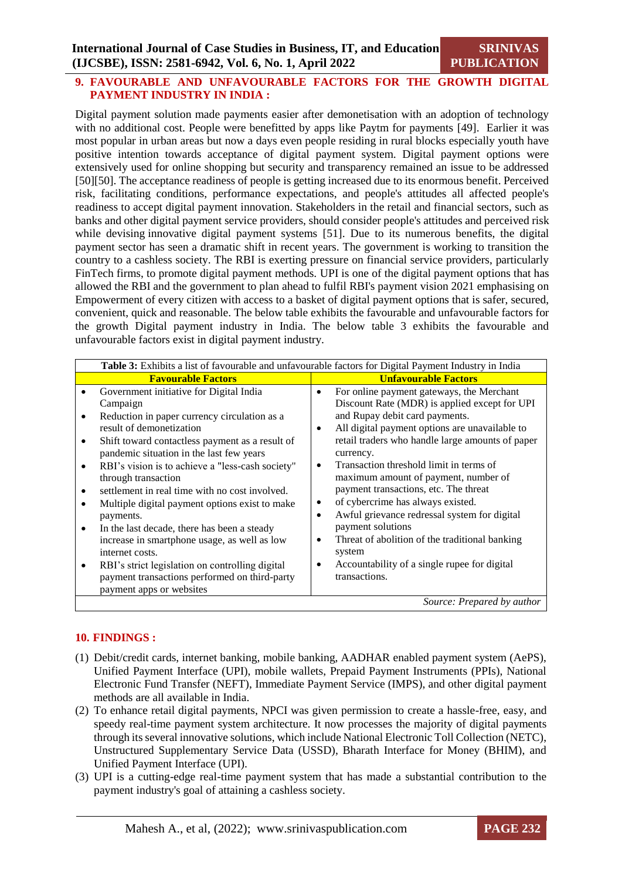### **9. FAVOURABLE AND UNFAVOURABLE FACTORS FOR THE GROWTH DIGITAL PAYMENT INDUSTRY IN INDIA :**

Digital payment solution made payments easier after demonetisation with an adoption of technology with no additional cost. People were benefitted by apps like Paytm for payments [\[49\].](#page-14-0)Earlier it was most popular in urban areas but now a days even people residing in rural blocks especially youth have positive intention towards acceptance of digital payment system. Digital payment options were extensively used for online shopping but security and transparency remained an issue to be addressed [\[50\]\[50\].](#page-14-1) The acceptance readiness of people is getting increased due to its enormous benefit. Perceived risk, facilitating conditions, performance expectations, and people's attitudes all affected people's readiness to accept digital payment innovation. Stakeholders in the retail and financial sectors, such as banks and other digital payment service providers, should consider people's attitudes and perceived risk while devising innovative digital payment systems [\[51\].](#page-14-2) Due to its numerous benefits, the digital payment sector has seen a dramatic shift in recent years. The government is working to transition the country to a cashless society. The RBI is exerting pressure on financial service providers, particularly FinTech firms, to promote digital payment methods. UPI is one of the digital payment options that has allowed the RBI and the government to plan ahead to fulfil RBI's payment vision 2021 emphasising on Empowerment of every citizen with access to a basket of digital payment options that is safer, secured, convenient, quick and reasonable. The below table exhibits the favourable and unfavourable factors for the growth Digital payment industry in India. The below table 3 exhibits the favourable and unfavourable factors exist in digital payment industry.

|                     | <b>Table 3:</b> Exhibits a list of favourable and unfavourable factors for Digital Payment Industry in India                                                                                                                                                                                                                                                                                                                                                              |                                  |                                                                                                                                                                                                                                                                                                                                                                                                                                                                                       |  |
|---------------------|---------------------------------------------------------------------------------------------------------------------------------------------------------------------------------------------------------------------------------------------------------------------------------------------------------------------------------------------------------------------------------------------------------------------------------------------------------------------------|----------------------------------|---------------------------------------------------------------------------------------------------------------------------------------------------------------------------------------------------------------------------------------------------------------------------------------------------------------------------------------------------------------------------------------------------------------------------------------------------------------------------------------|--|
|                     | <b>Favourable Factors</b>                                                                                                                                                                                                                                                                                                                                                                                                                                                 |                                  | <b>Unfavourable Factors</b>                                                                                                                                                                                                                                                                                                                                                                                                                                                           |  |
| $\bullet$<br>٠<br>٠ | Government initiative for Digital India<br>Campaign<br>Reduction in paper currency circulation as a<br>result of demonetization<br>Shift toward contactless payment as a result of<br>pandemic situation in the last few years<br>RBI's vision is to achieve a "less-cash society"<br>through transaction<br>settlement in real time with no cost involved.<br>Multiple digital payment options exist to make<br>payments.<br>In the last decade, there has been a steady | $\bullet$<br>٠<br>٠<br>$\bullet$ | For online payment gateways, the Merchant<br>Discount Rate (MDR) is applied except for UPI<br>and Rupay debit card payments.<br>All digital payment options are unavailable to<br>retail traders who handle large amounts of paper<br>currency.<br>Transaction threshold limit in terms of<br>maximum amount of payment, number of<br>payment transactions, etc. The threat<br>of cybercrime has always existed.<br>Awful grievance redressal system for digital<br>payment solutions |  |
|                     | increase in smartphone usage, as well as low<br>internet costs.<br>RBI's strict legislation on controlling digital                                                                                                                                                                                                                                                                                                                                                        | ٠                                | Threat of abolition of the traditional banking<br>system<br>Accountability of a single rupee for digital                                                                                                                                                                                                                                                                                                                                                                              |  |
|                     | payment transactions performed on third-party<br>payment apps or websites                                                                                                                                                                                                                                                                                                                                                                                                 |                                  | transactions.                                                                                                                                                                                                                                                                                                                                                                                                                                                                         |  |
|                     |                                                                                                                                                                                                                                                                                                                                                                                                                                                                           |                                  | Source: Prepared by author                                                                                                                                                                                                                                                                                                                                                                                                                                                            |  |

### **10. FINDINGS :**

- (1) Debit/credit cards, internet banking, mobile banking, AADHAR enabled payment system (AePS), Unified Payment Interface (UPI), mobile wallets, Prepaid Payment Instruments (PPIs), National Electronic Fund Transfer (NEFT), Immediate Payment Service (IMPS), and other digital payment methods are all available in India.
- (2) To enhance retail digital payments, NPCI was given permission to create a hassle-free, easy, and speedy real-time payment system architecture. It now processes the majority of digital payments through its several innovative solutions, which include National Electronic Toll Collection (NETC), Unstructured Supplementary Service Data (USSD), Bharath Interface for Money (BHIM), and Unified Payment Interface (UPI).
- (3) UPI is a cutting-edge real-time payment system that has made a substantial contribution to the payment industry's goal of attaining a cashless society.

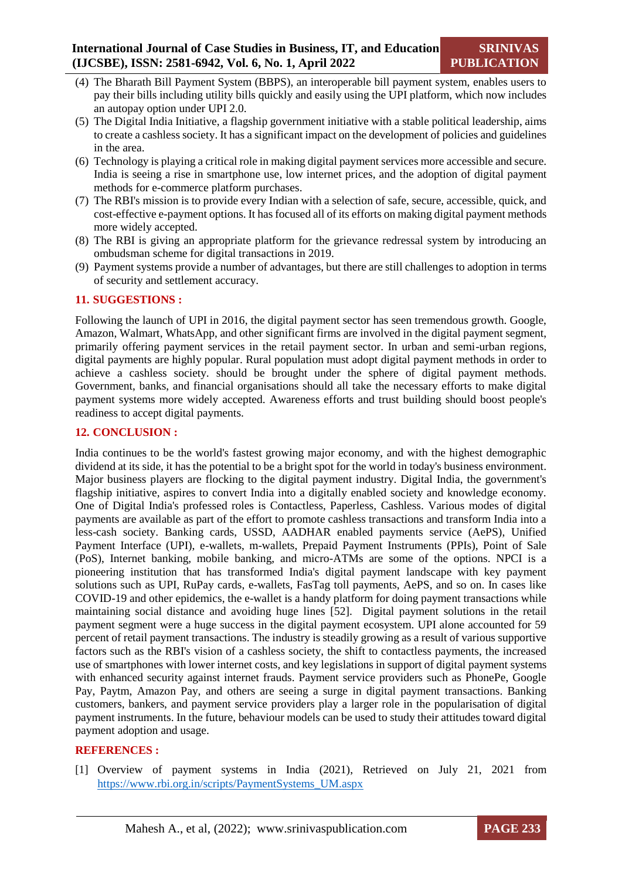- (4) The Bharath Bill Payment System (BBPS), an interoperable bill payment system, enables users to pay their bills including utility bills quickly and easily using the UPI platform, which now includes an autopay option under UPI 2.0.
- (5) The Digital India Initiative, a flagship government initiative with a stable political leadership, aims to create a cashless society. It has a significant impact on the development of policies and guidelines in the area.
- (6) Technology is playing a critical role in making digital payment services more accessible and secure. India is seeing a rise in smartphone use, low internet prices, and the adoption of digital payment methods for e-commerce platform purchases.
- (7) The RBI's mission is to provide every Indian with a selection of safe, secure, accessible, quick, and cost-effective e-payment options. It has focused all of its efforts on making digital payment methods more widely accepted.
- (8) The RBI is giving an appropriate platform for the grievance redressal system by introducing an ombudsman scheme for digital transactions in 2019.
- (9) Payment systems provide a number of advantages, but there are still challenges to adoption in terms of security and settlement accuracy.

### **11. SUGGESTIONS :**

Following the launch of UPI in 2016, the digital payment sector has seen tremendous growth. Google, Amazon, Walmart, WhatsApp, and other significant firms are involved in the digital payment segment, primarily offering payment services in the retail payment sector. In urban and semi-urban regions, digital payments are highly popular. Rural population must adopt digital payment methods in order to achieve a cashless society. should be brought under the sphere of digital payment methods. Government, banks, and financial organisations should all take the necessary efforts to make digital payment systems more widely accepted. Awareness efforts and trust building should boost people's readiness to accept digital payments.

### **12. CONCLUSION :**

India continues to be the world's fastest growing major economy, and with the highest demographic dividend at its side, it has the potential to be a bright spot for the world in today's business environment. Major business players are flocking to the digital payment industry. Digital India, the government's flagship initiative, aspires to convert India into a digitally enabled society and knowledge economy. One of Digital India's professed roles is Contactless, Paperless, Cashless. Various modes of digital payments are available as part of the effort to promote cashless transactions and transform India into a less-cash society. Banking cards, USSD, AADHAR enabled payments service (AePS), Unified Payment Interface (UPI), e-wallets, m-wallets, Prepaid Payment Instruments (PPIs), Point of Sale (PoS), Internet banking, mobile banking, and micro-ATMs are some of the options. NPCI is a pioneering institution that has transformed India's digital payment landscape with key payment solutions such as UPI, RuPay cards, e-wallets, FasTag toll payments, AePS, and so on. In cases like COVID-19 and other epidemics, the e-wallet is a handy platform for doing payment transactions while maintaining social distance and avoiding huge lines [\[52\].](#page-14-3) Digital payment solutions in the retail payment segment were a huge success in the digital payment ecosystem. UPI alone accounted for 59 percent of retail payment transactions. The industry is steadily growing as a result of various supportive factors such as the RBI's vision of a cashless society, the shift to contactless payments, the increased use of smartphones with lower internet costs, and key legislations in support of digital payment systems with enhanced security against internet frauds. Payment service providers such as PhonePe, Google Pay, Paytm, Amazon Pay, and others are seeing a surge in digital payment transactions. Banking customers, bankers, and payment service providers play a larger role in the popularisation of digital payment instruments. In the future, behaviour models can be used to study their attitudes toward digital payment adoption and usage.

### **REFERENCES :**

<span id="page-10-0"></span>[1] Overview of payment systems in India (2021), Retrieved on July 21, 2021 from [https://www.rbi.org.in/scripts/PaymentSystems\\_UM.aspx](https://www.rbi.org.in/scripts/PaymentSystems_UM.aspx)

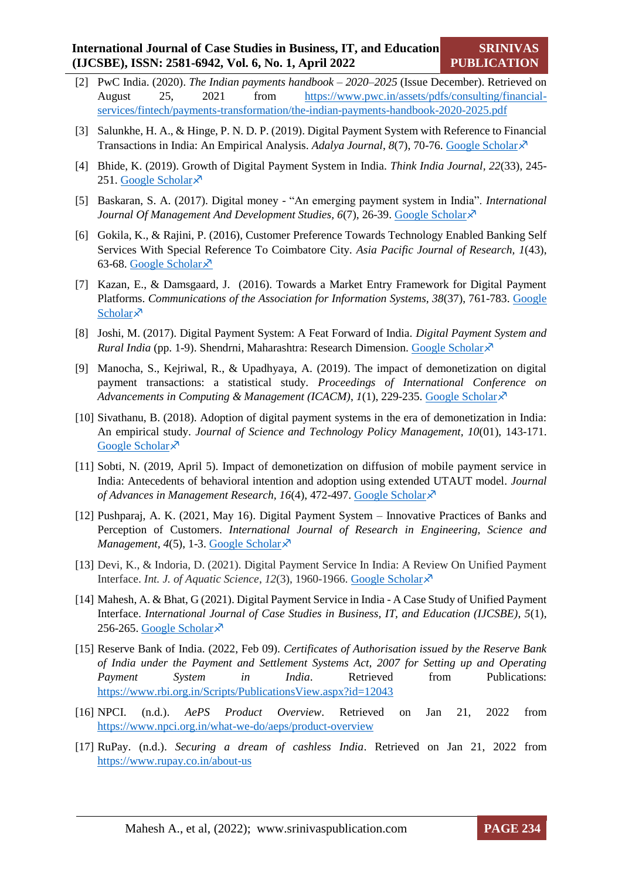- <span id="page-11-0"></span>[2] PwC India. (2020). *The Indian payments handbook – 2020–2025* (Issue December). Retrieved on August 25, 2021 from [https://www.pwc.in/assets/pdfs/consulting/financial](https://www.pwc.in/assets/pdfs/consulting/financial-services/fintech/payments-transformation/the-indian-payments-handbook-2020-2025.pdf)[services/fintech/payments-transformation/the-indian-payments-handbook-2020-2025.pdf](https://www.pwc.in/assets/pdfs/consulting/financial-services/fintech/payments-transformation/the-indian-payments-handbook-2020-2025.pdf)
- <span id="page-11-1"></span>[3] Salunkhe, H. A., & Hinge, P. N. D. P. (2019). Digital Payment System with Reference to Financial Transactions in India: An Empirical Analysis. *Adalya Journal*, *8*(7), 70-76. [Google Scholar](https://www.researchgate.net/profile/Harshal-Salunkhe/publication/335813200_Digital_Payment_System_with_Reference_to_Financial_Transactions_in_India_An_Empirical_Analysis/links/5d7ca8f24585155f1e4c4f22/Digital-Payment-System-with-Reference-to-Financial-Transactions-in-India-An-Empirical-Analysis.pdf)
- <span id="page-11-2"></span>[4] Bhide, K. (2019). Growth of Digital Payment System in India. *Think India Journal, 22*(33), 245- 251. [Google Scholar](https://thinkindiaquarterly.org/index.php/think-india/article/view/18837) $\bar{x}$
- <span id="page-11-3"></span>[5] Baskaran, S. A. (2017). Digital money - "An emerging payment system in India". *International*  Journal Of Management And Development Studies, 6(7), 26-39[. Google Scholar](https://www.ijmds.in/index.php/ijmds/article/view/295)<sup>N</sup>
- <span id="page-11-4"></span>[6] Gokila, K., & Rajini, P. (2016), Customer Preference Towards Technology Enabled Banking Self Services With Special Reference To Coimbatore City. *Asia Pacific Journal of Research, 1*(43), 63-68. [Google Scholar](https://web.archive.org/web/20180425022734id_/http:/www.apjor.com/downloads/270920169.pdf) ×
- <span id="page-11-5"></span>[7] Kazan, E., & Damsgaard, J. (2016). Towards a Market Entry Framework for Digital Payment Platforms. *Communications of the Association for Information Systems, 38*(37), 761-783. [Google](https://aisel.aisnet.org/cais/vol38/iss1/37/)  [Scholar](https://aisel.aisnet.org/cais/vol38/iss1/37/) $\lambda$
- <span id="page-11-6"></span>[8] Joshi, M. (2017). Digital Payment System: A Feat Forward of India. *Digital Payment System and Rural India* (pp. 1-9). Shendrni, Maharashtra: Research Dimension. [Google Scholar](https://papers.ssrn.com/sol3/papers.cfm?abstract_id=3043609)  $\lambda$
- <span id="page-11-7"></span>[9] Manocha, S., Kejriwal, R., & Upadhyaya, A. (2019). The impact of demonetization on digital payment transactions: a statistical study. *Proceedings of International Conference on Advancements in Computing & Management (ICACM)*, *1*(1), 229-235. [Google Scholar](https://papers.ssrn.com/sol3/papers.cfm?abstract_id=3446558)
- <span id="page-11-8"></span>[10] Sivathanu, B. (2018). Adoption of digital payment systems in the era of demonetization in India: An empirical study. *Journal of Science and Technology Policy Management, 10*(01), 143-171. [Google Scholar](https://www.emerald.com/insight/content/doi/10.1108/JSTPM-07-2017-0033/full/html) ×
- <span id="page-11-9"></span>[11] Sobti, N. (2019, April 5). Impact of demonetization on diffusion of mobile payment service in India: Antecedents of behavioral intention and adoption using extended UTAUT model. *Journal of Advances in Management Research, 16(4), 472-497. [Google Scholar](https://www.emerald.com/insight/content/doi/10.1108/jamr-09-2018-0086/full/html)*
- <span id="page-11-10"></span>[12] Pushparaj, A. K. (2021, May 16). Digital Payment System – Innovative Practices of Banks and Perception of Customers. *International Journal of Research in Engineering, Science and Management, 4(5), 1-3. [Google Scholar](http://www.journals.resaim.com/ijresm/article/view/708)* $\lambda$ <sup>7</sup>
- <span id="page-11-11"></span>[13] Devi, K., & Indoria, D. (2021). Digital Payment Service In India: A Review On Unified Payment Interface. *Int. J. of Aquatic Science*, *12*(3), 1960-1966. [Google Scholar](http://www.journal-aquaticscience.com/article_136176.html)
- [14] Mahesh, A. & Bhat, G (2021). Digital Payment Service in India A Case Study of Unified Payment Interface. *International Journal of Case Studies in Business, IT, and Education (IJCSBE)*, *5*(1), 256-265. [Google Scholar](https://web.archive.org/web/20210720201535id_/https:/srinivaspublication.com/wp-content/uploads/2021/07/19.-Digital-Payment_Fullpaper.pdf) $\lambda$
- <span id="page-11-12"></span>[15] Reserve Bank of India. (2022, Feb 09). *Certificates of Authorisation issued by the Reserve Bank of India under the Payment and Settlement Systems Act, 2007 for Setting up and Operating Payment System in India*. Retrieved from Publications: <https://www.rbi.org.in/Scripts/PublicationsView.aspx?id=12043>
- <span id="page-11-13"></span>[16] NPCI. (n.d.). *AePS Product Overview*. Retrieved on Jan 21, 2022 from <https://www.npci.org.in/what-we-do/aeps/product-overview>
- <span id="page-11-14"></span>[17] RuPay. (n.d.). *Securing a dream of cashless India*. Retrieved on Jan 21, 2022 from <https://www.rupay.co.in/about-us>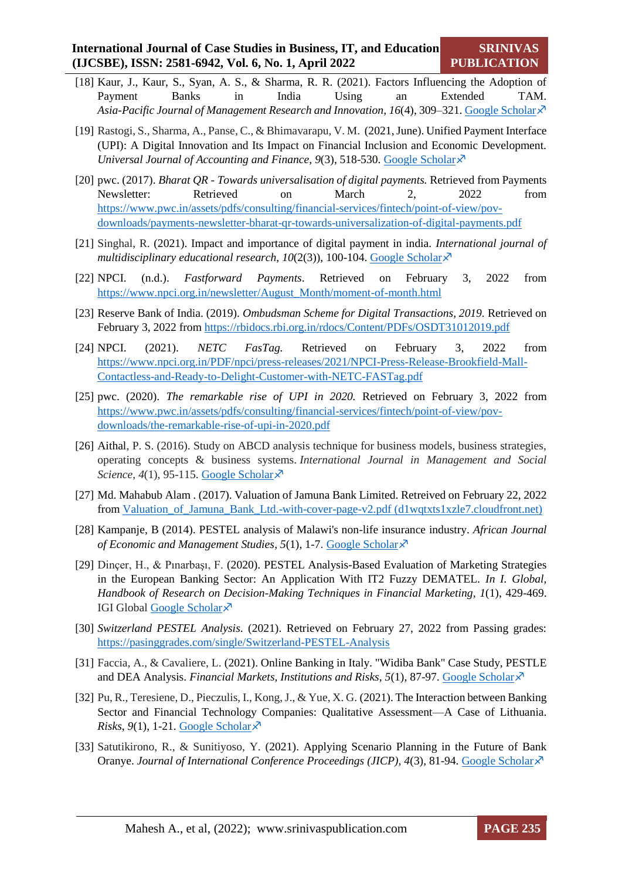- [18] Kaur, J., Kaur, S., Syan, A. S., & Sharma, R. R. (2021). Factors Influencing the Adoption of Payment Banks in India Using an Extended TAM. *Asia-Pacific Journal of Management Research and Innovation, 16*(4), 309–321[. Google Scholar](https://journals.sagepub.com/doi/abs/10.1177/2319510X211013598)
- <span id="page-12-0"></span>[19] Rastogi, S., Sharma, A., Panse, C., & Bhimavarapu, V. M. (2021, June). Unified Payment Interface (UPI): A Digital Innovation and Its Impact on Financial Inclusion and Economic Development. *Universal Journal of Accounting and Finance, 9(3), 518-530. [Google Scholar](https://www.researchgate.net/profile/Venkata-Bhimavarapu/publication/353016519_Unified_Payment_Interface_UPI_A_Digital_Innovation_and_Its_Impact_on_Financial_Inclusion_and_Economic_Development/links/60e454fea6fdccb7450ba296/Unified-Payment-Interface-UPI-A-Digital-Innovation-and-Its-Impact-on-Financial-Inclusion-and-Economic-Development.pdf)*  $\lambda$
- <span id="page-12-1"></span>[20] pwc. (2017). *Bharat QR - Towards universalisation of digital payments.* Retrieved from Payments Newsletter: Retrieved on March 2, 2022 from [https://www.pwc.in/assets/pdfs/consulting/financial-services/fintech/point-of-view/pov](https://www.pwc.in/assets/pdfs/consulting/financial-services/fintech/point-of-view/pov-downloads/payments-newsletter-bharat-qr-towards-universalization-of-digital-payments.pdf)[downloads/payments-newsletter-bharat-qr-towards-universalization-of-digital-payments.pdf](https://www.pwc.in/assets/pdfs/consulting/financial-services/fintech/point-of-view/pov-downloads/payments-newsletter-bharat-qr-towards-universalization-of-digital-payments.pdf)
- <span id="page-12-2"></span>[21] Singhal, R. (2021). Impact and importance of digital payment in india. *International journal of multidisciplinary educational research,*  $10(2(3))$ *, 100-104.* [Google Scholar](https://www.researchgate.net/profile/Rashi-Singhal/publication/352400258_INTERNATIONALJOURNALOF_MULTIDISCIPLINARYEDUCATIONALRESEARCH_IMPACT_AND_IMPORTANCE_OF_DIGITAL_PAYMENT_IN_INDIA/links/60c85e9292851c8e6395f657/INTERNATIONALJOURNALOF-MULTIDISCIPLINARYEDUCATIONALRESEARCH-IMPACT-AND-IMPORTANCE-OF-DIGITAL-PAYMENT-IN-INDIA.pdf) $\times$ <sup>7</sup>
- <span id="page-12-3"></span>[22] NPCI. (n.d.). *Fastforward Payments*. Retrieved on February 3, 2022 from [https://www.npci.org.in/newsletter/August\\_Month/moment-of-month.html](https://www.npci.org.in/newsletter/August_Month/moment-of-month.html)
- <span id="page-12-4"></span>[23] Reserve Bank of India. (2019). *Ombudsman Scheme for Digital Transactions, 2019.* Retrieved on February 3, 2022 fro[m https://rbidocs.rbi.org.in/rdocs/Content/PDFs/OSDT31012019.pdf](https://rbidocs.rbi.org.in/rdocs/Content/PDFs/OSDT31012019.pdf)
- <span id="page-12-5"></span>[24] NPCI. (2021). *NETC FasTag.* Retrieved on February 3, 2022 from [https://www.npci.org.in/PDF/npci/press-releases/2021/NPCI-Press-Release-Brookfield-Mall-](https://www.npci.org.in/PDF/npci/press-releases/2021/NPCI-Press-Release-Brookfield-Mall-Contactless-and-Ready-to-Delight-Customer-with-NETC-FASTag.pdf)[Contactless-and-Ready-to-Delight-Customer-with-NETC-FASTag.pdf](https://www.npci.org.in/PDF/npci/press-releases/2021/NPCI-Press-Release-Brookfield-Mall-Contactless-and-Ready-to-Delight-Customer-with-NETC-FASTag.pdf)
- <span id="page-12-6"></span>[25] pwc. (2020). *The remarkable rise of UPI in 2020.* Retrieved on February 3, 2022 from [https://www.pwc.in/assets/pdfs/consulting/financial-services/fintech/point-of-view/pov](https://www.pwc.in/assets/pdfs/consulting/financial-services/fintech/point-of-view/pov-downloads/the-remarkable-rise-of-upi-in-2020.pdf)[downloads/the-remarkable-rise-of-upi-in-2020.pdf](https://www.pwc.in/assets/pdfs/consulting/financial-services/fintech/point-of-view/pov-downloads/the-remarkable-rise-of-upi-in-2020.pdf)
- <span id="page-12-7"></span>[26] Aithal, P. S. (2016). Study on ABCD analysis technique for business models, business strategies, operating concepts & business systems. *International Journal in Management and Social Science*,  $4(1)$ , 95-115. [Google Scholar](https://papers.ssrn.com/sol3/papers.cfm?abstract_id=2779232) $\chi$ <sup>3</sup>
- [27] Md. Mahabub Alam . (2017). Valuation of Jamuna Bank Limited. Retreived on February 22, 2022 from [Valuation\\_of\\_Jamuna\\_Bank\\_Ltd.-with-cover-page-v2.pdf \(d1wqtxts1xzle7.cloudfront.net\)](https://d1wqtxts1xzle7.cloudfront.net/55415324/Valuation_of_Jamuna_Bank_Ltd.-with-cover-page-v2.pdf?Expires=1648538022&Signature=FCp6K5rhLJFNDCgw6MGq9Z9kCgqyokFUMBkSLv4nswrU7Qpu0oirsJFFKsPanw4UpjECphyehx1NhQPn8JGVgIDSqpZJH-8z7iK~NgY8H4MZWaSqthImnNgyvQY3Lkj655yReiHObiSmtTJnJVnZ8sK7T8WIiRSfFKMyv~ZYTubFEdtYOQ5poM7EHLg3azM-Bnglj3NT3005Ru0wTyWNM~KEDys8rGuRyisM49KPlmuuX80dVz3Us76VBTVFD9jkhOw~3wvaOM2n~R6IChkDyQpetu203aph0pNcDgkmqh09w8oKUaCBy7Lv3TOcthzYsyfL1oxAcXNI1CflxQXcIQ__&Key-Pair-Id=APKAJLOHF5GGSLRBV4ZA)
- <span id="page-12-8"></span>[28] Kampanje, B (2014). PESTEL analysis of Malawi's non-life insurance industry. *African Journal of Economic and Management Studies, 5(1), 1-7. [Google Scholar](https://www.emerald.com/insight/content/doi/10.1108/AJEMS-01-2013-0002/full/html)*  $\lambda$
- <span id="page-12-9"></span>[29] Dinçer, H., & Pınarbaşı, F. (2020). PESTEL Analysis-Based Evaluation of Marketing Strategies in the European Banking Sector: An Application With IT2 Fuzzy DEMATEL. *In I. Global, Handbook of Research on Decision-Making Techniques in Financial Marketing, 1*(1), 429-469. IGI Global [Google Scholar](https://www.igi-global.com/chapter/pestel-analysis-based-evaluation-of-marketing-strategies-in-the-european-banking-sector/241711) $\lambda$
- <span id="page-12-10"></span>[30] *Switzerland PESTEL Analysis*. (2021). Retrieved on February 27, 2022 from Passing grades: <https://pasinggrades.com/single/Switzerland-PESTEL-Analysis>
- <span id="page-12-11"></span>[31] Faccia, A., & Cavaliere, L. (2021). Online Banking in Italy. "Widiba Bank" Case Study, PESTLE and DEA Analysis. *Financial Markets, Institutions and Risks, 5*(1), 87-97. [Google Scholar](https://essuir.sumdu.edu.ua/handle/123456789/83980)
- <span id="page-12-12"></span>[32] Pu, R., Teresiene, D., Pieczulis, I., Kong, J., & Yue, X. G. (2021). The Interaction between Banking Sector and Financial Technology Companies: Qualitative Assessment—A Case of Lithuania. *Risks*,  $9(1)$ , 1-21. [Google Scholar](https://www.mdpi.com/2227-9091/9/1/21) $\chi^2$
- <span id="page-12-13"></span>[33] Satutikirono, R., & Sunitiyoso, Y. (2021). Applying Scenario Planning in the Future of Bank Oranye. *Journal of International Conference Proceedings (JICP), 4*(3), 81-94. [Google Scholar](http://www.ejournal.aibpm.org/index.php/JICP/article/view/1301)

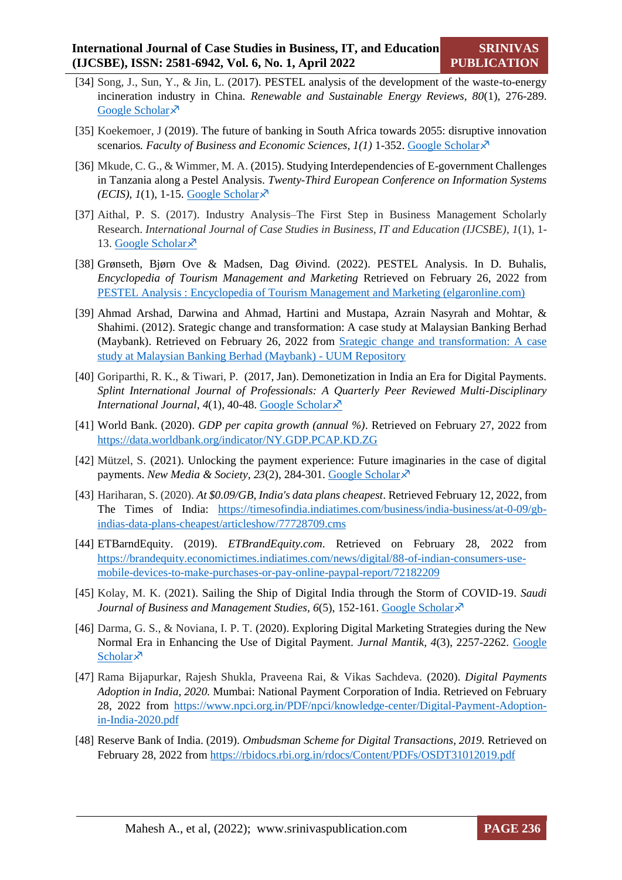- <span id="page-13-0"></span>[34] Song, J., Sun, Y., & Jin, L. (2017). PESTEL analysis of the development of the waste-to-energy incineration industry in China. *Renewable and Sustainable Energy Reviews, 80*(1), 276-289. [Google Scholar](https://www.sciencedirect.com/science/article/abs/pii/S1364032117307037) ×
- <span id="page-13-1"></span>[35] Koekemoer, J (2019). The future of banking in South Africa towards 2055: disruptive innovation scenarios*. Faculty of Business and Economic Sciences, 1(1)* 1-352. [Google Scholar](http://vital.seals.ac.za:8080/vital/access/manager/Repository/vital:36184?site_name=GlobalView)
- <span id="page-13-2"></span>[36] Mkude, C. G., & Wimmer, M. A. (2015). Studying Interdependencies of E-government Challenges in Tanzania along a Pestel Analysis. *Twenty-Third European Conference on Information Systems (ECIS)*,  $I(1)$ , 1-15. [Google Scholar](https://web.archive.org/web/20200324124405id_/https:/aisel.aisnet.org/cgi/viewcontent.cgi?article=1134&context=ecis2015_cr) $\lambda$ <sup>7</sup>
- <span id="page-13-3"></span>[37] Aithal, P. S. (2017). Industry Analysis–The First Step in Business Management Scholarly Research. *International Journal of Case Studies in Business, IT and Education (IJCSBE)*, *1*(1), 1- 13. [Google Scholar](https://papers.ssrn.com/sol3/papers.cfm?abstract_id=2988412) $\times$
- [38] Grønseth, Bjørn Ove & Madsen, Dag Øivind. (2022). PESTEL Analysis. In D. Buhalis, *Encyclopedia of Tourism Management and Marketing* Retrieved on February 26, 2022 from [PESTEL Analysis : Encyclopedia of Tourism Management and Marketing \(elgaronline.com\)](https://www.elgaronline.com/view/nlm-book/9781800377479/b-9781800377486.pestel.analysis.xml)
- <span id="page-13-4"></span>[39] Ahmad Arshad, Darwina and Ahmad, Hartini and Mustapa, Azrain Nasyrah and Mohtar, & Shahimi. (2012). Srategic change and transformation: A case study at Malaysian Banking Berhad (Maybank). Retrieved on February 26, 2022 from [Srategic change and transformation: A case](https://repo.uum.edu.my/id/eprint/7286/)  [study at Malaysian Banking Berhad \(Maybank\) -](https://repo.uum.edu.my/id/eprint/7286/) UUM Repository
- <span id="page-13-5"></span>[40] Goriparthi, R. K., & Tiwari, P. (2017, Jan). Demonetization in India an Era for Digital Payments. *Splint International Journal of Professionals: A Quarterly Peer Reviewed Multi-Disciplinary International Journal*, 4(1), 40-48. [Google Scholar](https://www.proquest.com/docview/1906048469?pq-origsite=gscholar&fromopenview=true) ×<sup>7</sup>
- <span id="page-13-6"></span>[41] World Bank. (2020). *GDP per capita growth (annual %)*. Retrieved on February 27, 2022 from <https://data.worldbank.org/indicator/NY.GDP.PCAP.KD.ZG>
- <span id="page-13-7"></span>[42] Mützel, S. (2021). Unlocking the payment experience: Future imaginaries in the case of digital payments. *New Media & Society, 23(2), 284-301.* [Google Scholar](https://journals.sagepub.com/doi/abs/10.1177/1461444820929317)  $\lambda$ <sup>7</sup>
- <span id="page-13-8"></span>[43] Hariharan, S. (2020). *At \$0.09/GB, India's data plans cheapest*. Retrieved February 12, 2022, from The Times of India: [https://timesofindia.indiatimes.com/business/india-business/at-0-09/gb](https://timesofindia.indiatimes.com/business/india-business/at-0-09/gb-indias-data-plans-cheapest/articleshow/77728709.cms)[indias-data-plans-cheapest/articleshow/77728709.cms](https://timesofindia.indiatimes.com/business/india-business/at-0-09/gb-indias-data-plans-cheapest/articleshow/77728709.cms)
- <span id="page-13-9"></span>[44] ETBarndEquity. (2019). *ETBrandEquity.com*. Retrieved on February 28, 2022 from [https://brandequity.economictimes.indiatimes.com/news/digital/88-of-indian-consumers-use](https://brandequity.economictimes.indiatimes.com/news/digital/88-of-indian-consumers-use-mobile-devices-to-make-purchases-or-pay-online-paypal-report/72182209)[mobile-devices-to-make-purchases-or-pay-online-paypal-report/72182209](https://brandequity.economictimes.indiatimes.com/news/digital/88-of-indian-consumers-use-mobile-devices-to-make-purchases-or-pay-online-paypal-report/72182209)
- <span id="page-13-10"></span>[45] Kolay, M. K. (2021). Sailing the Ship of Digital India through the Storm of COVID-19. *Saudi Journal of Business and Management Studies, 6(5), 152-161. [Google Scholar](https://saudijournals.com/media/articles/SJBMS_65_152-161_FT.pdf)*  $\lambda$ <sup>7</sup>
- <span id="page-13-11"></span>[46] Darma, G. S., & Noviana, I. P. T. (2020). Exploring Digital Marketing Strategies during the New Normal Era in Enhancing the Use of Digital Payment. *Jurnal Mantik, 4*(3), 2257-2262. [Google](https://iocscience.org/ejournal/index.php/mantik/article/view/1084)  [Scholar](https://iocscience.org/ejournal/index.php/mantik/article/view/1084) $\times$
- <span id="page-13-12"></span>[47] Rama Bijapurkar, Rajesh Shukla, Praveena Rai, & Vikas Sachdeva. (2020). *Digital Payments Adoption in India, 2020.* Mumbai: National Payment Corporation of India. Retrieved on February 28, 2022 from [https://www.npci.org.in/PDF/npci/knowledge-center/Digital-Payment-Adoption](https://www.npci.org.in/PDF/npci/knowledge-center/Digital-Payment-Adoption-in-India-2020.pdf)[in-India-2020.pdf](https://www.npci.org.in/PDF/npci/knowledge-center/Digital-Payment-Adoption-in-India-2020.pdf)
- <span id="page-13-13"></span>[48] Reserve Bank of India. (2019). *Ombudsman Scheme for Digital Transactions, 2019.* Retrieved on February 28, 2022 from<https://rbidocs.rbi.org.in/rdocs/Content/PDFs/OSDT31012019.pdf>